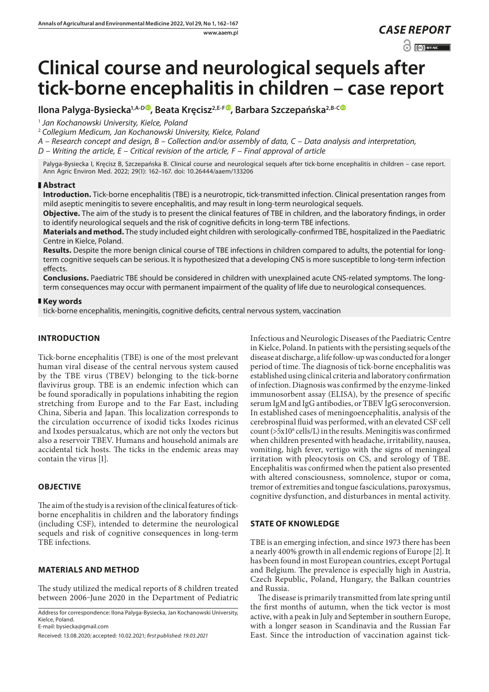# **Clinical course and neurological sequels after tick-borne encephalitis in children – case report**

# **Ilona Palyga-Bysiecka<sup>1[,](https://orcid.org/0000-0002-5781-0886)A-D</sup><sup>O</sup>, Beata Kręcisz<sup>2,E-F</sup><sup>O</sup>, Barbara Szczepańska<sup>2,B-[C](https://orcid.org/0000-0002-3334-039X)</sup><sup>O</sup>**

<sup>1</sup> *Jan Kochanowski University, Kielce, Poland*

<sup>2</sup> *Collegium Medicum, Jan Kochanowski University, Kielce, Poland*

*A – Research concept and design, B – Collection and/or assembly of data, C – Data analysis and interpretation,* 

*D – Writing the article, E – Critical revision of the article, F – Final approval of article*

Palyga-Bysiecka I, Kręcisz B, Szczepańska B. Clinical course and neurological sequels after tick-borne encephalitis in children – case report. Ann Agric Environ Med. 2022; 29(1): 162–167. doi: 10.26444/aaem/133206

## **Abstract**

**Introduction.** Tick-borne encephalitis (TBE) is a neurotropic, tick-transmitted infection. Clinical presentation ranges from mild aseptic meningitis to severe encephalitis, and may result in long-term neurological sequels.

**Objective.** The aim of the study is to present the clinical features of TBE in children, and the laboratory findings, in order to identify neurological sequels and the risk of cognitive deficits in long-term TBE infections.

**Materials and method.** The study included eight children with serologically-confirmed TBE, hospitalized in the Paediatric Centre in Kielce, Poland.

**Results.** Despite the more benign clinical course of TBE infections in children compared to adults, the potential for longterm cognitive sequels can be serious. It is hypothesized that a developing CNS is more susceptible to long-term infection effects.

**Conclusions.** Paediatric TBE should be considered in children with unexplained acute CNS-related symptoms. The longterm consequences may occur with permanent impairment of the quality of life due to neurological consequences.

### **Key words**

tick-borne encephalitis, meningitis, cognitive deficits, central nervous system, vaccination

# **INTRODUCTION**

Tick-borne encephalitis (TBE) is one of the most prelevant human viral disease of the central nervous system caused by the TBE virus (TBEV) belonging to the tick-borne flavivirus group. TBE is an endemic infection which can be found sporadically in populations inhabiting the region stretching from Europe and to the Far East, including China, Siberia and Japan. This localization corresponds to the circulation occurrence of ixodid ticks Ixodes ricinus and Ixodes persualcatus, which are not only the vectors but also a reservoir TBEV. Humans and household animals are accidental tick hosts. The ticks in the endemic areas may contain the virus [1].

# **OBJECTIVE**

The aim of the study is a revision of the clinical features of tickborne encephalitis in children and the laboratory findings (including CSF), intended to determine the neurological sequels and risk of cognitive consequences in long-term TBE infections.

# **MATERIALS AND METHOD**

The study utilized the medical reports of 8 children treated between 2006-June 2020 in the Department of Pediatric

Address for correspondence: Ilona Palyga-Bysiecka, Jan Kochanowski University, Kielce, Poland. E-mail: bysiecka@gmail.com

Received: 13.08.2020; accepted: 10.02.2021; *first published: 19.03.2021*

Infectious and Neurologic Diseases of the Paediatric Centre in Kielce, Poland. In patients with the persisting sequels of the disease at discharge, a life follow-up was conducted for a longer period of time. The diagnosis of tick-borne encephalitis was established using clinical criteria and laboratory confirmation of infection. Diagnosis was confirmed by the enzyme-linked immunosorbent assay (ELISA), by the presence of specific serum IgM and IgG antibodies, or TBEV IgG seroconversion. In established cases of meningoencephalitis, analysis of the cerebrospinal fluid was performed, with an elevated CSF cell  $count$  ( $>5x10<sup>6</sup>$  cells/L) in the results. Meningitis was confirmed when children presented with headache, irritability, nausea, vomiting, high fever, vertigo with the signs of meningeal irritation with pleocytosis on CS, and serology of TBE. Encephalitis was confirmed when the patient also presented with altered consciousness, somnolence, stupor or coma, tremor of extremities and tongue fasciculations, paroxysmus, cognitive dysfunction, and disturbances in mental activity.

# **STATE OF KNOWLEDGE**

TBE is an emerging infection, and since 1973 there has been a nearly 400% growth in all endemic regions of Europe [2]. It has been found in most European countries, except Portugal and Belgium. The prevalence is especially high in Austria, Czech Republic, Poland, Hungary, the Balkan countries and Russia.

The disease is primarily transmitted from late spring until the first months of autumn, when the tick vector is most active, with a peak in July and September in southern Europe, with a longer season in Scandinavia and the Russian Far East. Since the introduction of vaccination against tick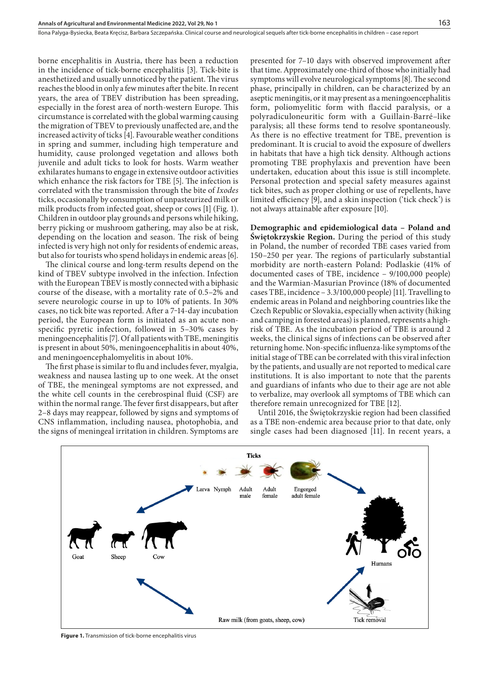borne encephalitis in Austria, there has been a reduction in the incidence of tick-borne encephalitis [3]. Tick-bite is anesthetized and usually unnoticed by the patient. The virus reaches the blood in only a few minutes after the bite. In recent years, the area of TBEV distribution has been spreading, especially in the forest area of north-western Europe. This circumstance is correlated with the global warming causing the migration of TBEV to previously unaffected are, and the increased activity of ticks [4]. Favourable weather conditions in spring and summer, including high temperature and humidity, cause prolonged vegetation and allows both juvenile and adult ticks to look for hosts. Warm weather exhilarates humans to engage in extensive outdoor activities which enhance the risk factors for TBE [5]. The infection is correlated with the transmission through the bite of *Ixodes* ticks, occasionally by consumption of unpasteurized milk or milk products from infected goat, sheep or cows [1] (Fig. 1). Children in outdoor play grounds and persons while hiking, berry picking or mushroom gathering, may also be at risk, depending on the location and season. The risk of being infected is very high not only for residents of endemic areas, but also for tourists who spend holidays in endemic areas [6].

The clinical course and long-term results depend on the kind of TBEV subtype involved in the infection. Infection with the European TBEV is mostly connected with a biphasic course of the disease, with a mortality rate of 0.5–2% and severe neurologic course in up to 10% of patients. In 30% cases, no tick bite was reported. After a 7‒14-day incubation period, the European form is initiated as an acute nonspecific pyretic infection, followed in 5–30% cases by meningoencephalitis [7]. Of all patients with TBE, meningitis is present in about 50%, meningoencephalitis in about 40%, and meningoencephalomyelitis in about 10%.

The first phase is similar to flu and includes fever, myalgia, weakness and nausea lasting up to one week. At the onset of TBE, the meningeal symptoms are not expressed, and the white cell counts in the cerebrospinal fluid (CSF) are within the normal range. The fever first disappears, but after 2–8 days may reappear, followed by signs and symptoms of CNS inflammation, including nausea, photophobia, and the signs of meningeal irritation in children. Symptoms are

presented for 7–10 days with observed improvement after that time. Approximately one-third of those who initially had symptoms will evolve neurological symptoms [8]. The second phase, principally in children, can be characterized by an aseptic meningitis, or it may present as a meningoencephalitis form, poliomyelitic form with flaccid paralysis, or a polyradiculoneuritic form with a Guillain-Barré–like paralysis; all these forms tend to resolve spontaneously. As there is no effective treatment for TBE, prevention is predominant. It is crucial to avoid the exposure of dwellers in habitats that have a high tick density. Although actions promoting TBE prophylaxis and prevention have been undertaken, education about this issue is still incomplete. Personal protection and special safety measures against tick bites, such as proper clothing or use of repellents, have limited efficiency [9], and a skin inspection ('tick check') is not always attainable after exposure [10].

**Demographic and epidemiological data – Poland and Świętokrzyskie Region.** During the period of this study in Poland, the number of recorded TBE cases varied from 150–250 per year. The regions of particularly substantial morbidity are north-eastern Poland: Podlaskie (41% of documented cases of TBE, incidence – 9/100,000 people) and the Warmian-Masurian Province (18% of documented cases TBE, incidence – 3.3/100,000 people) [11]. Travelling to endemic areas in Poland and neighboring countries like the Czech Republic or Slovakia, especially when activity (hiking and camping in forested areas) is planned, represents a highrisk of TBE. As the incubation period of TBE is around 2 weeks, the clinical signs of infections can be observed after returning home. Non-specific influenza-like symptoms of the initial stage of TBE can be correlated with this viral infection by the patients, and usually are not reported to medical care institutions. It is also important to note that the parents and guardians of infants who due to their age are not able to verbalize, may overlook all symptoms of TBE which can therefore remain unrecognized for TBE [12].

Until 2016, the Świętokrzyskie region had been classified as a TBE non-endemic area because prior to that date, only single cases had been diagnosed [11]. In recent years, a



**Figure 1.** Transmission of tick-borne encephalitis virus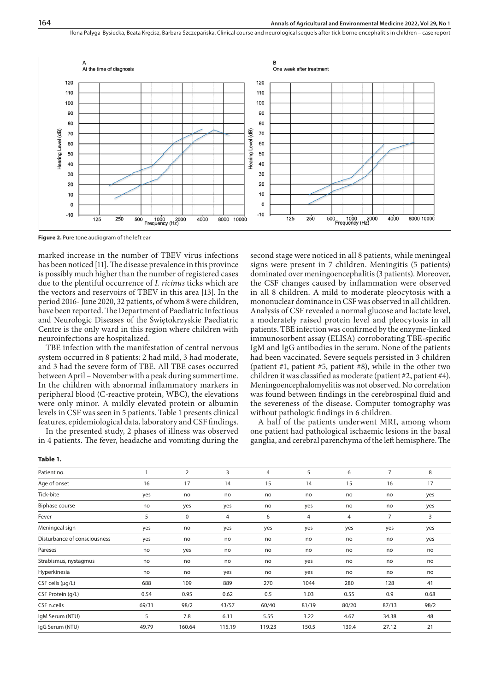Ilona Palyga-Bysiecka, Beata Kręcisz, Barbara Szczepańska . Clinical course and neurological sequels after tick-borne encephalitis in children – case report



**Figure 2.** Pure tone audiogram of the left ear

**Table 1.** 

marked increase in the number of TBEV virus infections has been noticed [11]. The disease prevalence in this province is possibly much higher than the number of registered cases due to the plentiful occurrence of *I. ricinus* ticks which are the vectors and reservoirs of TBEV in this area [13]. In the period 2016- June 2020, 32 patients, of whom 8 were children, have been reported. The Department of Paediatric Infectious and Neurologic Diseases of the Świętokrzyskie Paediatric Centre is the only ward in this region where children with neuroinfections are hospitalized.

TBE infection with the manifestation of central nervous system occurred in 8 patients: 2 had mild, 3 had moderate, and 3 had the severe form of TBE. All TBE cases occurred between April – November with a peak during summertime. In the children with abnormal inflammatory markers in peripheral blood (C-reactive protein, WBC), the elevations were only minor. A mildly elevated protein or albumin levels in CSF was seen in 5 patients. Table 1 presents clinical features, epidemiological data, laboratory and CSF findings.

In the presented study, 2 phases of illness was observed in 4 patients. The fever, headache and vomiting during the second stage were noticed in all 8 patients, while meningeal signs were present in 7 children. Meningitis (5 patients) dominated over meningoencephalitis (3 patients). Moreover, the CSF changes caused by inflammation were observed in all 8 children. A mild to moderate pleocytosis with a mononuclear dominance in CSF was observed in all children. Analysis of CSF revealed a normal glucose and lactate level, a moderately raised protein level and pleocytosis in all patients. TBE infection was confirmed by the enzyme-linked immunosorbent assay (ELISA) corroborating TBE-specific IgM and IgG antibodies in the serum. None of the patients had been vaccinated. Severe sequels persisted in 3 children (patient #1, patient #5, patient #8), while in the other two children it was classified as moderate (patient #2, patient #4). Meningoencephalomyelitis was not observed. No correlation was found between findings in the cerebrospinal fluid and the severeness of the disease. Computer tomography was without pathologic findings in 6 children.

A half of the patients underwent MRI, among whom one patient had pathological ischaemic lesions in the basal ganglia, and cerebral parenchyma of the left hemisphere. The

| Patient no.                  |       | $\overline{2}$ | 3              | 4      | 5     | 6              | $\overline{7}$ | 8    |
|------------------------------|-------|----------------|----------------|--------|-------|----------------|----------------|------|
| Age of onset                 | 16    | 17             | 14             | 15     | 14    | 15             | 16             | 17   |
| Tick-bite                    | yes   | no             | no             | no     | no    | no             | no             | yes  |
| <b>Biphase course</b>        | no    | yes            | yes            | no     | yes   | no             | no             | yes  |
| Fever                        | 5     | $\mathbf 0$    | $\overline{4}$ | 6      | 4     | $\overline{4}$ | $\overline{7}$ | 3    |
| Meningeal sign               | yes   | no             | yes            | yes    | yes   | yes            | yes            | yes  |
| Disturbance of consciousness | yes   | no             | no             | no     | no    | no             | no             | yes  |
| Pareses                      | no    | yes            | no             | no     | no    | no             | no             | no   |
| Strabismus, nystagmus        | no    | no             | no             | no     | yes   | no             | no             | no   |
| Hyperkinesia                 | no    | no             | yes            | no     | yes   | no             | no             | no   |
| $CSF$ cells ( $\mu$ g/L)     | 688   | 109            | 889            | 270    | 1044  | 280            | 128            | 41   |
| CSF Protein (g/L)            | 0.54  | 0.95           | 0.62           | 0.5    | 1.03  | 0.55           | 0.9            | 0.68 |
| CSF n.cells                  | 69/31 | 98/2           | 43/57          | 60/40  | 81/19 | 80/20          | 87/13          | 98/2 |
| IgM Serum (NTU)              | 5     | 7.8            | 6.11           | 5.55   | 3.22  | 4.67           | 34.38          | 48   |
| IgG Serum (NTU)              | 49.79 | 160.64         | 115.19         | 119.23 | 150.5 | 139.4          | 27.12          | 21   |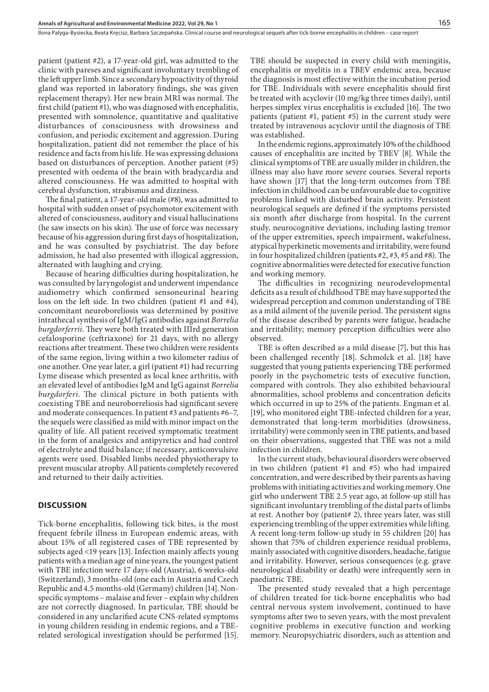patient (patient #2), a 17-year-old girl, was admitted to the clinic with pareses and significant involuntary trembling of the left upper limb. Since a secondary hypoactivity of thyroid gland was reported in laboratory findings, she was given replacement therapy). Her new brain MRI was normal. The first child (patient #1), who was diagnosed with encephalitis, presented with somnolence, quantitative and qualitative disturbances of consciousness with drowsiness and confusion, and periodic excitement and aggression. During hospitalization, patient did not remember the place of his residence and facts from his life. He was expressing delusions based on disturbances of perception. Another patient (#5) presented with oedema of the brain with bradycardia and altered consciousness. He was admitted to hospital with cerebral dysfunction, strabismus and dizziness.

The final patient, a 17-year-old male (#8), was admitted to hospital with sudden onset of psychomotor excitement with altered of consciousness, auditory and visual hallucinations (he saw insects on his skin). The use of force was necessary because of his aggression during first days of hospitalization, and he was consulted by psychiatrist. The day before admission, he had also presented with illogical aggression, alternated with laughing and crying.

Because of hearing difficulties during hospitalization, he was consulted by laryngologist and underwent impendance audiometry which confirmed sensoneurinal hearing loss on the left side. In two children (patient #1 and #4), concomitant neuroboreliosis was determined by positive intrathecal synthesis of IgM/IgG antibodies against *Borrelia burgdorferrii*. They were both treated with IIIrd generation cefalosporine (ceftriaxone) for 21 days, with no allergy reactions after treatment. These two children were residents of the same region, living within a two kilometer radius of one another. One year later, a girl (patient #1) had recurring Lyme disease which presented as local knee arthritis, with an elevated level of antibodies IgM and IgG against *Borrelia burgdorferi*. The clinical picture in both patients with coexisting TBE and neuroborreliosis had significant severe and moderate consequences. In patient #3 and patients #6–7, the sequels were classified as mild with minor impact on the quality of life. All patient received symptomatic treatment in the form of analgesics and antipyretics and had control of electrolyte and fluid balance; if necessary, anticonvulsive agents were used. Disabled limbs needed physiotherapy to prevent muscular atrophy. All patients completely recovered and returned to their daily activities.

#### **DISCUSSION**

Tick-borne encephalitis, following tick bites, is the most frequent febrile illness in European endemic areas, with about 15% of all registered cases of TBE represented by subjects aged <19 years [13]. Infection mainly affects young patients with a median age of nine years, the youngest patient with TBE infection were 17 days-old (Austria), 6 weeks-old (Switzerland), 3 months-old (one each in Austria and Czech Republic and 4.5 months-old (Germany) children [14]. Nonspecific symptoms – malaise and fever – explain why children are not correctly diagnosed. In particular, TBE should be considered in any unclarified acute CNS-related symptoms in young children residing in endemic regions, and a TBErelated serological investigation should be performed [15].

TBE should be suspected in every child with meningitis, encephalitis or myelitis in a TBEV endemic area, because the diagnosis is most effective within the incubation period for TBE. Individuals with severe encephalitis should first be treated with acyclovir (10 mg/kg three times daily), until herpes simplex virus encephalitis is excluded [16]. The two patients (patient #1, patient #5) in the current study were treated by intravenous acyclovir until the diagnosis of TBE was established.

In the endemic regions, approximately 10% of the childhood causes of encephalitis are incited by TBEV [8]. While the clinical symptoms of TBE are usually milder in children, the illness may also have more severe courses. Several reports have shown [17] that the long-term outcomes from TBE infection in childhood can be unfavourable due to cognitive problems linked with disturbed brain activity. Persistent neurological sequels are defined if the symptoms persisted six month after discharge from hospital. In the current study, neurocognitive deviations, including lasting tremor of the upper extremities, speech impairment, wakefulness, atypical hyperkinetic movements and irritability, were found in four hospitalized children (patients #2, #3, #5 and #8). The cognitive abnormalities were detected for executive function and working memory.

The difficulties in recognizing neurodevelopmental deficits as a result of childhood TBE may have supported the widespread perception and common understanding of TBE as a mild ailment of the juvenile period. The persistent signs of the disease described by parents were fatigue, headache and irritability; memory perception difficulties were also observed.

TBE is often described as a mild disease [7], but this has been challenged recently [18]. Schmolck et al. [18] have suggested that young patients experiencing TBE performed poorly in the psychometric tests of executive function, compared with controls. They also exhibited behavioural abnormalities, school problems and concentration deficits which occurred in up to 25% of the patients. Engman et al. [19], who monitored eight TBE-infected children for a year, demonstrated that long-term morbidities (drowsiness, irritability) were commonly seen in TBE patients, and based on their observations, suggested that TBE was not a mild infection in children.

In the current study, behavioural disorders were observed in two children (patient #1 and #5) who had impaired concentration, and were described by their parents as having problems with initiating activities and working memory. One girl who underwent TBE 2.5 year ago, at follow-up still has significant involuntary trembling of the distal parts of limbs at rest. Another boy (patient# 2), three years later, was still experiencing trembling of the upper extremities while lifting. A recent long-term follow-up study in 55 children [20] has shown that 75% of children experience residual problems, mainly associated with cognitive disorders, headache, fatigue and irritability. However, serious consequences (e.g. grave neurological disability or death) were infrequently seen in paediatric TBE.

The presented study revealed that a high percentage of children treated for tick-borne encephalitis who had central nervous system involvement, continued to have symptoms after two to seven years, with the most prevalent cognitive problems in executive function and working memory. Neuropsychiatric disorders, such as attention and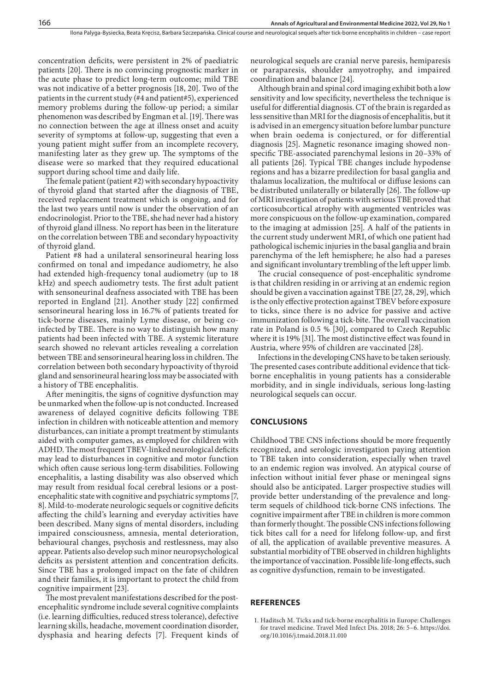concentration deficits, were persistent in 2% of paediatric patients [20]. There is no convincing prognostic marker in the acute phase to predict long-term outcome; mild TBE was not indicative of a better prognosis [18, 20]. Two of the patients in the current study (#4 and patient#5), experienced memory problems during the follow-up period; a similar phenomenon was described by Engman et al. [19]. There was no connection between the age at illness onset and acuity severity of symptoms at follow-up, suggesting that even a young patient might suffer from an incomplete recovery, manifesting later as they grew up. The symptoms of the disease were so marked that they required educational support during school time and daily life.

The female patient (patient #2) with secondary hypoactivity of thyroid gland that started after the diagnosis of TBE, received replacement treatment which is ongoing, and for the last two years until now is under the observation of an endocrinologist. Prior to the TBE, she had never had a history of thyroid gland illness. No report has been in the literature on the correlation between TBE and secondary hypoactivity of thyroid gland.

Patient #8 had a unilateral sensorineural hearing loss confirmed on tonal and impedance audiometry, he also had extended high-frequency tonal audiometry (up to 18 kHz) and speech audiometry tests. The first adult patient with sensoneurinal deafness associated with TBE has been reported in England [21]. Another study [22] confirmed sensorineural hearing loss in 16.7% of patients treated for tick-borne diseases, mainly Lyme disease, or being coinfected by TBE. There is no way to distinguish how many patients had been infected with TBE. A systemic literature search showed no relevant articles revealing a correlation between TBE and sensorineural hearing loss in children. The correlation between both secondary hypoactivity of thyroid gland and sensorineural hearing loss may be associated with a history of TBE encephalitis.

After meningitis, the signs of cognitive dysfunction may be unmarked when the follow-up is not conducted. Increased awareness of delayed cognitive deficits following TBE infection in children with noticeable attention and memory disturbances, can initiate a prompt treatment by stimulants aided with computer games, as employed for children with ADHD. The most frequent TBEV-linked neurological deficits may lead to disturbances in cognitive and motor function which often cause serious long-term disabilities. Following encephalitis, a lasting disability was also observed which may result from residual focal cerebral lesions or a postencephalitic state with cognitive and psychiatric symptoms [7, 8]. Mild-to-moderate neurologic sequels or cognitive deficits affecting the child's learning and everyday activities have been described. Many signs of mental disorders, including impaired consciousness, amnesia, mental deterioration, behavioural changes, psychosis and restlessness, may also appear. Patients also develop such minor neuropsychological deficits as persistent attention and concentration deficits. Since TBE has a prolonged impact on the fate of children and their families, it is important to protect the child from cognitive impairment [23].

The most prevalent manifestations described for the postencephalitic syndrome include several cognitive complaints (i.e. learning difficulties, reduced stress tolerance), defective learning skills, headache, movement coordination disorder, dysphasia and hearing defects [7]. Frequent kinds of neurological sequels are cranial nerve paresis, hemiparesis or paraparesis, shoulder amyotrophy, and impaired coordination and balance [24].

Although brain and spinal cord imaging exhibit both a low sensitivity and low specificity, nevertheless the technique is useful for differential diagnosis. CT of the brain is regarded as less sensitive than MRI for the diagnosis of encephalitis, but it is advised in an emergency situation before lumbar puncture when brain oedema is conjectured, or for differential diagnosis [25]. Magnetic resonance imaging showed nonspecific TBE-associated parenchymal lesions in 20–33% of all patients [26]. Typical TBE changes include hypodense regions and has a bizarre predilection for basal ganglia and thalamus localization, the multifocal or diffuse lesions can be distributed unilaterally or bilaterally [26]. The follow-up of MRI investigation of patients with serious TBE proved that corticosubcortical atrophy with augmented ventricles was more conspicuous on the follow-up examination, compared to the imaging at admission [25]. A half of the patients in the current study underwent MRI, of which one patient had pathological ischemic injuries in the basal ganglia and brain parenchyma of the left hemisphere; he also had a pareses and significant involuntary trembling of the left upper limb.

The crucial consequence of post-encephalitic syndrome is that children residing in or arriving at an endemic region should be given a vaccination against TBE [27, 28, 29], which is the only effective protection against TBEV before exposure to ticks, since there is no advice for passive and active immunization following a tick-bite. The overall vaccination rate in Poland is 0.5 % [30], compared to Czech Republic where it is 19% [31]. The most distinctive effect was found in Austria, where 95% of children are vaccinated [28].

Infections in the developing CNS have to be taken seriously. The presented cases contribute additional evidence that tickborne encephalitis in young patients has a considerable morbidity, and in single individuals, serious long-lasting neurological sequels can occur.

#### **CONCLUSIONS**

Childhood TBE CNS infections should be more frequently recognized, and serologic investigation paying attention to TBE taken into consideration, especially when travel to an endemic region was involved. An atypical course of infection without initial fever phase or meningeal signs should also be anticipated. Larger prospective studies will provide better understanding of the prevalence and longterm sequels of childhood tick-borne CNS infections. The cognitive impairment after TBE in children is more common than formerly thought. The possible CNS infections following tick bites call for a need for lifelong follow-up, and first of all, the application of available preventive measures. A substantial morbidity of TBE observed in children highlights the importance of vaccination. Possible life-long effects, such as cognitive dysfunction, remain to be investigated.

#### **REFERENCES**

1. Haditsch M. Ticks and tick-borne encephalitis in Europe: Challenges for travel medicine. Travel Med Infect Dis. 2018; 26: 5–6. https://doi. org/10.1016/j.tmaid.2018.11.010